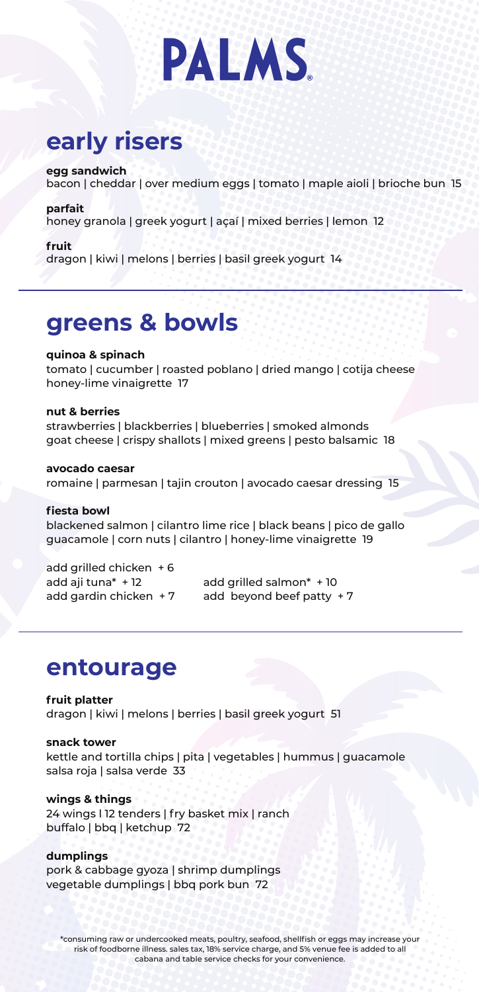

## **early risers**

**egg sandwich**  bacon | cheddar | over medium eggs | tomato | maple aioli | brioche bun 15

**parfait**  honey granola | greek yogurt | açaí | mixed berries | lemon 12

**fruit** 

dragon | kiwi | melons | berries | basil greek yogurt 14

### **greens & bowls**

#### **quinoa & spinach**

tomato | cucumber | roasted poblano | dried mango | cotija cheese honey-lime vinaigrette 17

#### **nut & berries**

strawberries | blackberries | blueberries | smoked almonds goat cheese | crispy shallots | mixed greens | pesto balsamic 18

#### **avocado caesar**

romaine | parmesan | tajin crouton | avocado caesar dressing 15

#### **fiesta bowl**

blackened salmon | cilantro lime rice | black beans | pico de gallo guacamole | corn nuts | cilantro | honey-lime vinaigrette 19

add grilled chicken + 6

add aji tuna\* + 12 add grilled salmon\* + 10 add gardin chicken  $+7$  add beyond beef patty  $+7$ 

### **entourage**

**fruit platter**  dragon | kiwi | melons | berries | basil greek yogurt 51

#### **snack tower**

kettle and tortilla chips | pita | vegetables | hummus | guacamole salsa roja | salsa verde 33

#### **wings & things**

24 wings l 12 tenders | fry basket mix | ranch buffalo | bbq | ketchup 72

#### **dumplings**

pork & cabbage gyoza | shrimp dumplings vegetable dumplings | bbq pork bun 72

\*consuming raw or undercooked meats, poultry, seafood, shellfish or eggs may increase your risk of foodborne illness. sales tax, 18% service charge, and 5% venue fee is added to all cabana and table service checks for your convenience.